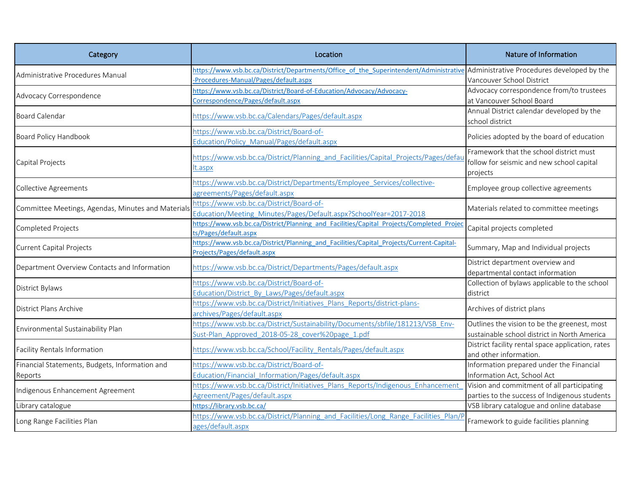| Category                                                  | Location                                                                                                                                                                  | Nature of Information                                                                            |
|-----------------------------------------------------------|---------------------------------------------------------------------------------------------------------------------------------------------------------------------------|--------------------------------------------------------------------------------------------------|
| Administrative Procedures Manual                          | https://www.vsb.bc.ca/District/Departments/Office of the Superintendent/Administrative Administrative Procedures developed by the<br>Procedures-Manual/Pages/default.aspx | Vancouver School District                                                                        |
| Advocacy Correspondence                                   | https://www.vsb.bc.ca/District/Board-of-Education/Advocacy/Advocacy-<br>Correspondence/Pages/default.aspx                                                                 | Advocacy correspondence from/to trustees<br>at Vancouver School Board                            |
| <b>Board Calendar</b>                                     | https://www.vsb.bc.ca/Calendars/Pages/default.aspx                                                                                                                        | Annual District calendar developed by the<br>school district                                     |
| Board Policy Handbook                                     | https://www.vsb.bc.ca/District/Board-of-<br>Education/Policy Manual/Pages/default.aspx                                                                                    | Policies adopted by the board of education                                                       |
| Capital Projects                                          | https://www.vsb.bc.ca/District/Planning and Facilities/Capital Projects/Pages/defau<br>t.aspx                                                                             | Framework that the school district must<br>follow for seismic and new school capital<br>projects |
| <b>Collective Agreements</b>                              | https://www.vsb.bc.ca/District/Departments/Employee Services/collective-<br>agreements/Pages/default.aspx                                                                 | Employee group collective agreements                                                             |
| Committee Meetings, Agendas, Minutes and Materials        | https://www.vsb.bc.ca/District/Board-of-<br>Education/Meeting Minutes/Pages/Default.aspx?SchoolYear=2017-2018                                                             | Materials related to committee meetings                                                          |
| Completed Projects                                        | https://www.vsb.bc.ca/District/Planning and Facilities/Capital Projects/Completed Projec<br>ts/Pages/default.aspx                                                         | Capital projects completed                                                                       |
| <b>Current Capital Projects</b>                           | https://www.vsb.bc.ca/District/Planning and Facilities/Capital Projects/Current-Capital-<br>Projects/Pages/default.aspx                                                   | Summary, Map and Individual projects                                                             |
| Department Overview Contacts and Information              | https://www.vsb.bc.ca/District/Departments/Pages/default.aspx                                                                                                             | District department overview and<br>departmental contact information                             |
| District Bylaws                                           | https://www.vsb.bc.ca/District/Board-of-<br>Education/District By Laws/Pages/default.aspx                                                                                 | Collection of bylaws applicable to the school<br>district                                        |
| District Plans Archive                                    | https://www.vsb.bc.ca/District/Initiatives Plans Reports/district-plans-<br>archives/Pages/default.aspx                                                                   | Archives of district plans                                                                       |
| Environmental Sustainability Plan                         | https://www.vsb.bc.ca/District/Sustainability/Documents/sbfile/181213/VSB_Env-<br>Sust-Plan Approved 2018-05-28 cover%20page 1.pdf                                        | Outlines the vision to be the greenest, most<br>sustainable school district in North America     |
| Facility Rentals Information                              | https://www.vsb.bc.ca/School/Facility Rentals/Pages/default.aspx                                                                                                          | District facility rental space application, rates<br>and other information.                      |
| Financial Statements, Budgets, Information and<br>Reports | nttps://www.vsb.bc.ca/District/Board-of-<br>Education/Financial Information/Pages/default.aspx                                                                            | Information prepared under the Financial<br>Information Act, School Act                          |
| Indigenous Enhancement Agreement                          | https://www.vsb.bc.ca/District/Initiatives Plans Reports/Indigenous Enhancement<br>Agreement/Pages/default.aspx                                                           | Vision and commitment of all participating<br>parties to the success of Indigenous students      |
| Library catalogue                                         | https://library.vsb.bc.ca/                                                                                                                                                | VSB library catalogue and online database                                                        |
| Long Range Facilities Plan                                | https://www.vsb.bc.ca/District/Planning and Facilities/Long Range Facilities Plan/P<br>ages/default.aspx                                                                  | Framework to guide facilities planning                                                           |